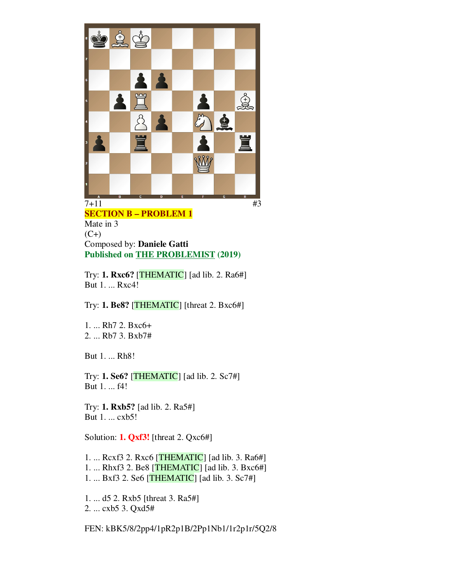

**SECTION B – PROBLEM 1** Mate in 3  $(C+)$ Composed by: **Daniele Gatti Published on THE PROBLEMIST (2019)**

Try: **1. Rxc6?** [THEMATIC] [ad lib. 2. Ra6#] But 1. ... Rxc4!

Try: **1. Be8?** [THEMATIC] [threat 2. Bxc6#]

1. ... Rh7 2. Bxc6+ 2. ... Rb7 3. Bxb7#

But 1. ... Rh8!

Try: **1. Se6?** [THEMATIC] [ad lib. 2. Sc7#] But 1. ... f4!

Try: **1. Rxb5?** [ad lib. 2. Ra5#] But 1. ... cxb5!

Solution: **1. Qxf3!** [threat 2. Qxc6#]

1. ... Rcxf3 2. Rxc6 [THEMATIC] [ad lib. 3. Ra6#] 1. ... Rhxf3 2. Be8 [THEMATIC] [ad lib. 3. Bxc6#] 1. ... Bxf3 2. Se6 [THEMATIC] [ad lib. 3. Sc7#]

1. ... d5 2. Rxb5 [threat 3. Ra5#] 2. ... cxb5 3. Qxd5#

FEN: kBK5/8/2pp4/1pR2p1B/2Pp1Nb1/1r2p1r/5Q2/8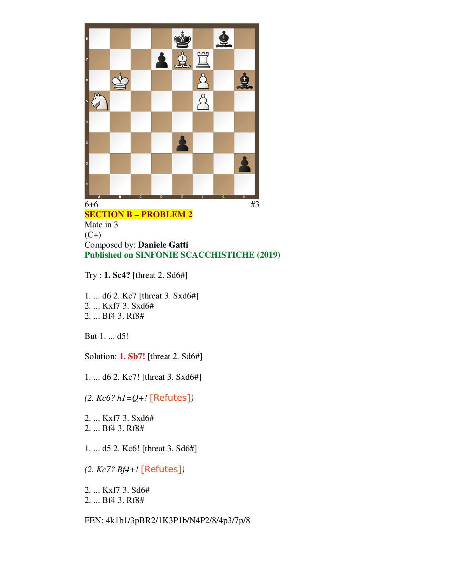

## **SECTION B – PROBLEM 2**

Mate in 3  $(C+)$ Composed by: **Daniele Gatti Published on SINFONIE SCACCHISTICHE (2019)**

Try : **1. Sc4?** [threat 2. Sd6#]

1. ... d6 2. Kc7 [threat 3. Sxd6#] 2. ... Kxf7 3. Sxd6# 2. ... Bf4 3. Rf8#

But 1. ... d5!

Solution: **1. Sb7!** [threat 2. Sd6#]

1. ... d6 2. Kc7! [threat 3. Sxd6#]

*(2. Kc6? h1=Q+!* [Refutes]*)*

2. ... Kxf7 3. Sxd6# 2. ... Bf4 3. Rf8#

1. ... d5 2. Kc6! [threat 3. Sd6#]

*(2. Kc7? Bf4+!* [Refutes]*)*

2. ... Kxf7 3. Sd6#

2. ... Bf4 3. Rf8#

FEN: 4k1b1/3pBR2/1K3P1b/N4P2/8/4p3/7p/8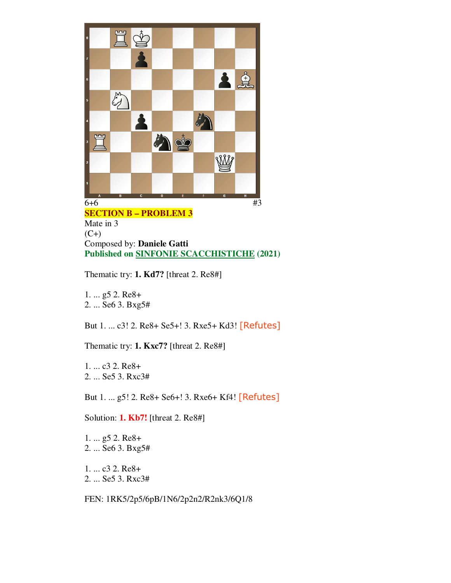

**SECTION B – PROBLEM 3** Mate in 3  $(C+)$ Composed by: **Daniele Gatti Published on SINFONIE SCACCHISTICHE (2021)**

Thematic try: **1. Kd7?** [threat 2. Re8#]

1. ... g5 2. Re8+ 2. ... Se6 3. Bxg5#

But 1. ... c3! 2. Re8+ Se5+! 3. Rxe5+ Kd3! [Refutes]

Thematic try: **1. Kxc7?** [threat 2. Re8#]

1. ... c3 2. Re8+ 2. ... Se5 3. Rxc3#

But 1. ... g5! 2. Re8+ Se6+! 3. Rxe6+ Kf4! [Refutes]

Solution: **1. Kb7!** [threat 2. Re8#]

1. ... g5 2. Re8+ 2. ... Se6 3. Bxg5#

1. ... c3 2. Re8+ 2. ... Se5 3. Rxc3#

FEN: 1RK5/2p5/6pB/1N6/2p2n2/R2nk3/6Q1/8